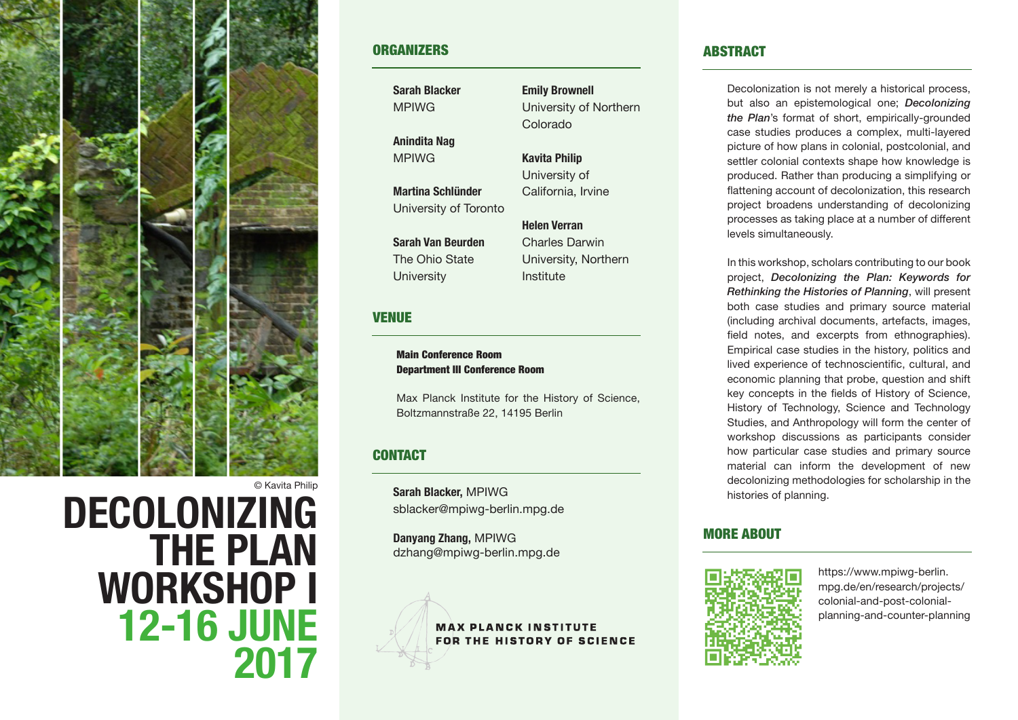

## **ORGANIZERS**

**Sarah Blacker** MPIWG

**Anindita Nag** MPIWG

**Martina Schlünder** University of Toronto

**Sarah Van Beurden** The Ohio State **University** 

## VENUE

#### Main Conference Room Department III Conference Room

Max Planck Institute for the History of Science, Boltzmannstraße 22, 14195 Berlin

# **CONTACT**

**Sarah Blacker,** MPIWG sblacker@mpiwg-berlin.mpg.de

**Danyang Zhang,** MPIWG dzhang@mpiwg-berlin.mpg.de



Charles Darwin University, Northern Institute

**Emily Brownell**

Colorado

**Kavita Philip** University of California, Irvine

**Helen Verran**

University of Northern

### ABSTRACT

Decolonization is not merely a historical process, but also an epistemological one; *Decolonizing the Plan*'s format of short, empirically-grounded case studies produces a complex, multi-layered picture of how plans in colonial, postcolonial, and settler colonial contexts shape how knowledge is produced. Rather than producing a simplifying or flattening account of decolonization, this research project broadens understanding of decolonizing processes as taking place at a number of different levels simultaneously.

In this workshop, scholars contributing to our book project, *Decolonizing the Plan: Keywords for Rethinking the Histories of Planning*, will present both case studies and primary source material (including archival documents, artefacts, images, field notes, and excerpts from ethnographies). Empirical case studies in the history, politics and lived experience of technoscientific, cultural, and economic planning that probe, question and shift key concepts in the fields of History of Science, History of Technology, Science and Technology Studies, and Anthropology will form the center of workshop discussions as participants consider how particular case studies and primary source material can inform the development of new decolonizing methodologies for scholarship in the histories of planning.

# MORE ABOUT



https://www.mpiwg-berlin. mpg.de/en/research/projects/ colonial-and-post-colonialplanning-and-counter-planning

© Kavita Philip

# **DECOLONIZING THE PLAN WORKSHOP I 12-16 JUNE 2017**